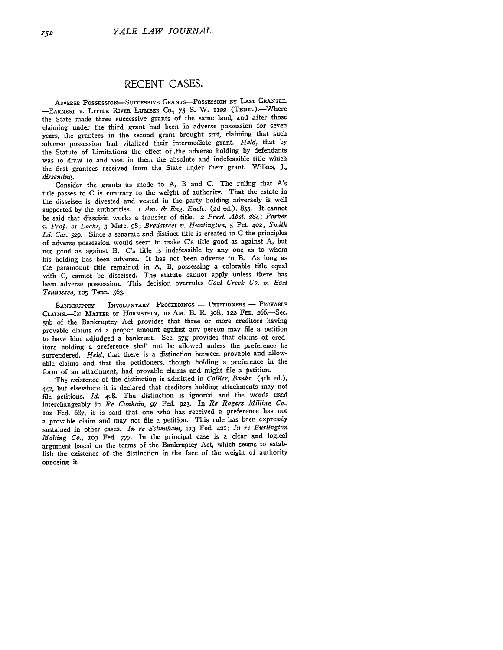## **RECENT CASES.**

**ADVERSE POSSESSION-SUCCESsIvE GRANTS-POSSESSION By LAST** GRANTEE. **-EARNEST V.** LITTLE **RIVER LUMBER** Co., **75 S.** W. **1122** (TENN.).-Where the State made three successive grants of the same land, and after those claiming under the third grant had been in adverse possession for seven years, the grantees in the second grant brought suit, claiming that such adverse possession had vitalized their intermediate grant. *Held,* that by the Statute of Limitations the effect of.the adverse holding by defendants was to draw to and vest in them the absolute and indefeasible title which the first grantees received from the State under their grant. Wilkes, *J., dissenting.*

Consider **the** grants **as** made **to** A, B and **C.** The ruling that *A's* title passes to C is contrary to the weight of authority. That the estate in the disseisee is divested and vested in the party holding adversely is well supported **by** the authorities. I *Ant. & Eng. Encic.* (2d ed.), 833. It cannot be said that disseisin works a transfer of title. 2 *Prest. Abst.* 284; *Parker v. Prop. of Locks,* **3** Metc. **98;** *Bradstreet v. Huntington,* **5** Pet. 402; *Smith Ld. Cas.* **529.** Since a separate and distinct title is created in C the principles of adverse possession would seem to make C's title good as against A, but not good as against B. C's title is indefeasible **by** any one as to whom his holding has been adverse. It has not been adverse to B. As long as the paramount title remained in A, B, possessing a colorable title equal with C, cannot be disseised. The statute cannot apply unless there has been adverse possession. This decision overrules *Coal Creek Co. v. East* Tennessee, 105 Tenn. 563.

BANKRUPTCY **- INVOLUNTARY PROCEEDINGS -** PETITIONERS **-** PROVABLE CLAIMS.- IN MATTER OF HORNSTEIN, 10 AM. B. R. 308., 122 FED. 266.-Sec. **59b** of the Bankruptcy Act provides that three or more creditors having provable claims of a proper amount against any person may file a petition to have him adjudged a bankrupt. Sec. *57g* provides that claims of creditors holding a preference shall not be allowed unless the preference be surrendered. *Held,* that there is a distinction between provable and allowable claims and that the petitioners, though holding a preference in the form of an attachment, had provable claims and might file a petition.

The existence of the distinction is admitted in *Collier, Bankr.* (4th ed.), **442,** but elsewhere it is declared that creditors holding attachments may not file petitions. *Id.* 4o8. The distinction is ignored and the words used interchangeably in *Re Conhain, 97* Fed. **923.** In *Re Rogers Milling Co.,* **lO2** Fed. **687,** it is said that one who has received a preference has not a provable claim and may not file a petition. This rule has been expressly sustained in other cases. *In re Schenkein,* **113** Fed. **421;** *In re Burlington Malting Co.,* **1o9** Fed. **777.** In the principal case is a clear and logical argument based on the terms of the Bankruptcy Act, which seems to establish the existence of the distinction in the face of the weight of authority **opposing it.**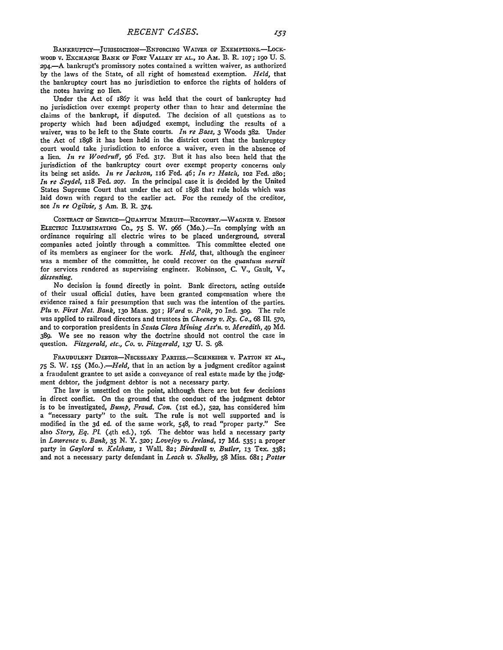BANKRUPTCY-JURISDICTION-ENFORCING WAIVER OF EXEMPTIONS.-LOCK-WOOD V. EXCHANGE BANK OF FORT VALLEY **ET** AL., io AM. B. R. i07; 190 U. S. 294.-A bankrupt's promissory notes contained a written waiver, as authorized by the laws of the State, of all right of homestead exemption. *Held,* that the bankruptcy court has no jurisdiction to enforce the rights of holders of the notes having no lien.

Under the Act of 1867 it was held that the court of bankruptcy had no jurisdiction over exempt property other than to hear and determine the claims of the bankrupt, if disputed. The decision of all questions as to property which had been adjudged exempt, including the results of a waiver, was to be left to the State courts. *In re Bass,* 3 Woods 382. Under the Act of 1898 it has been held in the district court that the bankruptcy court would take jurisdiction to enforce a waiver, even in the absence of a lien. *In re Woodruff,* **96** Fed. 317. But it has also been held that the jurisdiction of the bankruptcy court over exempt property concerns only its being set aside. *in re Jackson,* 116 Fed. 46; *In r- Hatch, io2* Fed. **28o;** *In re Seydel,* 1I8 Fed. **2o7.** In the principal case it is decided **by** the United States Supreme Court that under the act of 1898 that rule holds which was laid down with regard to the earlier act. For the remedy of the creditor, see *In re Ogilvie, 5* Am. B. R. 374.

CONTRACT OF **SERVICE-QUANTUM** MERUIT-REcOVERY.-WAGNER V. EDISON **ELECTRIC** ILLUMINATING **CO.,** 75 **S.** W. 966 (Mo.).-In complying with an ordinance requiring all electric wires to be placed underground, several companies acted jointly through a committee. This committee elected one of its members as engineer for the work. *Held,* that, although the engineer was a member of the committee, he could recover on the *quantum ineruit* for services rendered as supervising engineer. Robinson, C. V., Gault, V., *dissenting.*

No decision is found directly in point. Bank directors, acting outside of their usual official duties, have been granted compensation where the evidence raised a fair presumption that such was the intention of the parties. *Plu v. First Nat. Bank,* **130** Mass. 391; *Ward v. Polk,* **70** Ind. **309.** The rule was applied to railroad directors and trustees in *Cheeney v. Ry. Co., 68* Ill. **570,** and to corporation presidents in *Santa Clara Mining Ass'n. v. Meredith,* 49 Md. 389. We see no reason why the doctrine should not control the case in question. *Fitzgerald, etc., Co. v. Fitzgerald,* **137** U. S. *98.*

**FRAUDULENT** DEBTOR-NECESSARY **PARTIES.-ScHNEIDER V. PATTON ET AL., 75 S.** W. **155** *(Mo.) .- Held,* that in an action by a judgment creditor against a fraudulent grantee to set aside a conveyance of real estate made by the **judg**ment debtor, the judgment debtor is not a necessary party.

The law is unsettled on the point, although there are but few decisions in direct conflict. On the ground that the conduct of the judgment debtor is to be investigated, *Bump, Fraud. Con.* (ist ed.), **522,** has considered him a "necessary party" to the suit. The rule is not well supported and is modified in the **3d** ed. of the same work, 548, to read "proper party." See also *Story, Eq. Pl.* (4th ed.), i96. The debtor was held a necessary party in *Lawrence v. Bank,* **35 N. Y. 320;** *Lovejoy v. Ireland,* **17** Md. 535; a proper party in *Gaylord v. Kelshaw, I* Wall. 82; *Birdwell v. Butler,* **i3** Tex. 338; and not a necessary party defendant in *Leach v. Shelby,* **58** Miss. 68i; *Potter*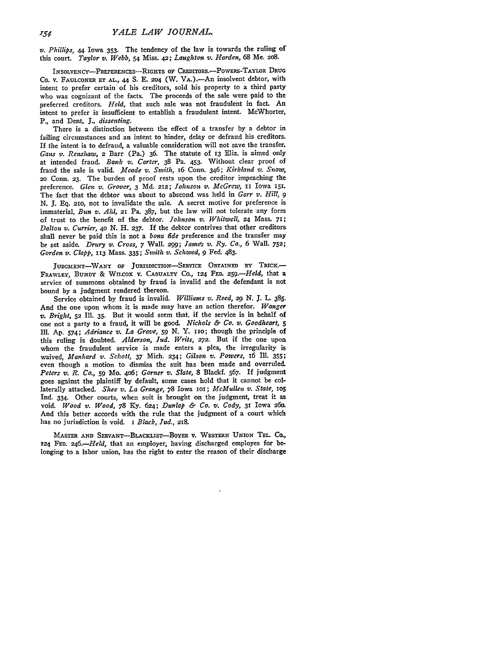*v. Phillips,* 44 Iowa **353.** The tendency of the law is towards the ruling of this court. *Taylor v. Webb,* **54** Miss. **42;** *Laughton v. Harden,* 68 Me. 208.

INSOLVENCY-PREFERENCES-RIGHTS OF CREDITORS.-- POWERS-TAYLOR DRUG Co. v. **FAULCONER ET AL.,** 44 S. E. *204* (W. VA.).-An insolvent debtor, with intent to prefer certain of his creditors, sold his property to a third party who was cognizant of the facts. The proceeds of the sale were paid to the preferred creditors. *Held,* that such sale was not fraudulent in fact. An intent to prefer is insufficient to establish a fraudulent intent. McWhorter, P., and Dent, **J.,** *dissenting.*

There is a distinction between the effect of a transfer **by** a debtor in failing circumstances and an intent to hinder, delay or defraud his creditors. If the intent is to defraud, a valuable consideration will not save the transfer. *Gans v. Renshaw, 2* Barr (Pa.) 36. The statute of **13** Eliz. is aimed only at intended fraud. *Bank v. Carter,* **38** Pa. 453. Without clear proof of fraud the sale is valid. *Meade v. Smith, 16* Conn. 346; *Kirkland z. Snow,* **20** Conn. **23.** The burden of proof rests upon the creditor impeaching the preference. *Glen v. Grover, 3* **Md.** 212; *Johnson v. McGrew, ii* Iowa **151.** The fact that the debtor was about to abscond was held in *Garr v. Hill, 9* **N. J. Eq. 21o,** not to invalidate the sale. **A** secret motive for preference is immaterial, *Bun v. Ahl, 21 Pa. 387*, but the law will not tolerate any form of trust to the benefit of the debtor. *Johnson v. Whitwell,* **24** Mass. **71;** *Dalton v. Currier, 4o* **N.** H. **237.** If the debtor contrives that other creditors shall never be paid this is not a *bona fide* preference and the transfer may be set aside. *Drury v. Cross, 7* Wall. 299; *James v. Ry. Co.,* **6** Wall. **752;** *Garden v?. Clapp,* **113** Mass. 335; *Smith v. Schwed, 9* Fed. 483.

**JUDGMFENT-WANT OF JURISDIcTION-SERVIcE OBTAINED** BY **TRICK.- FRAWLEY, BUNDY &** WILCOX **V. CASUALTY** Co., **124 FED.** *259.-Held,* that a service of summons obtained by fraud is invalid and the defendant is not bound by a judgment rendered thereon.

Service obtained by fraud is invalid. *Williams v. Reed,* 29 N. J. L. **385.** And the one upon whom it is made may have an action therefor. *Wanger v. Bright,* **52** Ill. **35.** But it would seem that. if the service is in behalf of one not a party to a fraud, it will be good. *Nichols & Co. v. Goodheart, 5* Ill. **Ap.** 574; *Adriance v. La Grave, 59 N.* Y. iiO; though the principle of this ruling is doubted. *Alderson, Jud. Writs, 272.* But if the one upon whom the fraudulent service is made enters a plea, the irregularity is waived, *Manhard v. Schott,* **37** Mich. 234; *Gilson v. Powers,* 16 Ill. **355;** even though a motion to dismiss the suit has been made and overruled. *Peters v. R. Co.,* 59 Mo. 4o6; *Gorner v. Slate,* **8** Blackf. **567.** If judgment goes against the plaintiff **by** default, some cases hold that it cannot be collaterally attacked. *Shee v. La Grange,* **78** Iowa ioi; *McMullen v. State,* los Ind. 334. Other courts, when suit is brought on the judgment, treat it as void. *Wood v. Wood,* **78 Ky.** 624; *Dunlap & Co. v. Cody,* **31** Iowa **26o.** And this better accords with the rule that the judgment of a court which has no jurisdiction is void. I Black, Jud., 218.

**MASTER AND SERVANT-BLACKLIST-BoYER V. WESTERN** UNION TEL. Co., **124 FED.** *246.-Held,* that an employer, having discharged employes for belonging to a labor union, has the right to enter the reason of their discharge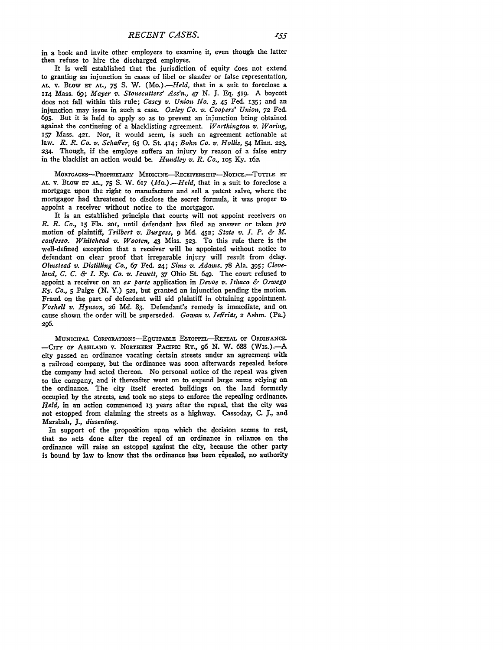in a book and invite other employers to examine it, even though the latter then refuse to hire the discharged employes.

It is well established that the jurisdiction of equity does not extend to granting an injunction in cases of libel or slander or false representation, AL. v. **BLOW Er AL.,** *75* **S.** W. *(Mo.).-Held,* that in a suit to foreclose a **114** Mass. *69; Mayer v. Stonecutters' Ass'n., 47* **N. J. Eq. 51g.** A boycott does not fall within this rule; *Casey v. Union No. 3,* 45 Fed. **135;** and an injunction may issue in such a case. *Oxley Co. v. Coopers' Union,* **72** Fed. **695.** But it is held to apply so as to prevent an injunction being obtained against the continuing of a blacklisting agreement. *Worthington v. Waring,* **157** Mass. 42r. Nor, it would seem, is such an agreement actionable at law. *R. R. Co. v. Schaffer, 65* **0.** St. **414;** *Bohn Co. v. Hollis,* 54 Minn. **223, 234.** Though, if the employe suffers an injury by reason of a false entry in the blacklist an action would be. *Hundley v. R. Co.,* lo5 Ky. 162.

MORTGAGES--PROPRIETARY MEDICINE-RECEIVERSHIP-NOTICE.--TUTTLE ET **AL.** V. BLOW Er *AL., 75* **S.** W. 617 (Ao.) *.- Held,* that in a suit to foreclose a mortgage upon the right to manufacture and sell a patent salve, where the mortgagor had threatened to disclose the secret formula, it was proper to appoint a receiver without notice to the mortgagor.

It is an established principle that courts will not appoint receivers on *R. R. Co.,* 15 Fla. **201,** until defendant has filed an answer or taken *pro* motion of plaintiff, *Trilbert v. Burgess, 9* **Md. 452;** *State v. I. P. & M. confesso. Whitehead v. Wooten,* 43 Miss. **523.** To this rule there is the well-defined exception that a receiver will be appointed without notice to defendant on clear proof that irreparable injury will result from delay. *Olmstead v. Distilling Co.,* 67 Fed. **24;** *Sims v. Adams.* 78 Ala. **395;** *Cleveland, C. C. & L Ry. Co. v. Jewett,* 37 Ohio St. 649. The court refused to appoint a receiver on an *ex parte* application in *Devoe v. Ithaca & Oswego Ry. Co.,* **5** Paige (N. **Y.) 521,** but granted an injunction pending the motion. Fraud on the part of defendant will aid plaintiff in obtaining appointment. *Voshell v. Hynson, 26* Md. 83. Defendant's remedy is immediate, and on cause shown the order will be superseded. *Gowan v. JetfriaS,* 2 Ashm. (Pa.) *296.*

MUNICIPAL CORPORATIONS-EQUITABLE ESTOPPEL-REPEAL OF ORDINANCE. -CITY OF ASHLAND V. NORTHERN PACIFIC RY., 96 N. W. 688 (WIS.).-- A city passed an ordinance vacating certain streets under an agreement with a railroad company, but the ordinance was soon afterwards repealed before the company had acted thereon. No personal notice of the repeal was given to the company, and it thereafter went on to expend large sums relying on the ordinance. The city itself erected buildings on the land formerly occupied by the streets, and took no steps to enforce the repealing ordinance. *Held,* in an action commenced **13** years after the repeal, that the city was not estopped from claiming the streets as a highway. Cassoday, C. *J.,* and Marshah, *J., dissenting.*

In support of the proposition upon which the decision seems to rest, that no acts done after the repeal of an ordinance in reliance on the ordinance will raise an estoppel against the city, because the other party is bound by law to know that the ordinance has been repealed, no authority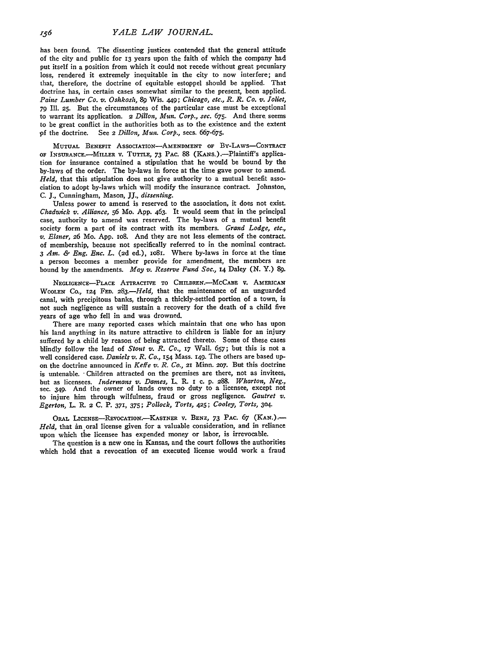has been found. The dissenting justices contended that the general attitude of the city and public for 13 years upon the faith of which the company had put itself in a position from which it could not recede without great pecuniary loss, rendered it extremely inequitable in the city to now interfere; and that, therefore, the doctrine of equitable estoppel should be applied. That doctrine has, in certain cases somewhat similar to the present, been applied. *Paine Lumber Co. v.* Oshkosh, *89* Wis. 449; Chicago, etc., *R. R. Co. v. Joliet,* **79** Ill. **25.** But the circumstances of the particular case must be exceptional to warrant its application. 2 *Dillon, Mun. Corp., sec.* **675.** And there, seems to be great conflict in the authorities both as to the existence and the extent **<sup>9</sup> f** the doctrine. See 2 *Dillon, Mun. Corp.,* secs. **667-675.**

**MUTUAL BENEFIT ASSOCIATION-AMENDMENT OF** BY-LAWS-CONTRACT OF INsURANCE.-MILLER **V.** TUTTLE, 73 PAC. **88** (KANs.).-Plaintiff's application for insurance contained a stipulation that he would be bound **by** the by-laws of the order. The by-laws in force at the time gave power to amend. *Held,* that this stipulation does not give authority to a mutual benefit association to adopt by-laws which will modify the insurance contract. Johnston, **C. J.,** Cunningham, Mason, JJ., *dissenting.*

Unless power to amend is reserved to the association, it does not exist. *Chadwick v. Alliance,* **56** Mo. App. 463. It would seem that in the principal case, authority to amend was reserved. The by-laws of a mutual benefit society form a part of its contract with its members. *Grand Lodge, etc., v. Elsner, 26 Mo. App. 108. And they are not less elements of the contract.* of membership, because not specifically referred to in the nominal contract. *3 Am. & Eng. Enc. L.* (2d ed.), io8i. Where by-laws in force at the time a person becomes a member provide for amendment, the members are bound by the amendments. *May v. Reserve Fund Soc.,* **14** Daley **(N.** Y.) **89.**

**NEGLIGENCE-PLACE ATTRACTIVE TO** CHILDREN.-McCABE V. **AMERICAN WOOLEN** Co., **124 FED.** *283.-Held,* that the maintenance of an unguarded canal, with precipitous banks, through a thickly-settled portion of a town, is not such negligence as will sustain a recovery for the death of a child five years of age who fell in and was drowned.

There are many reported cases which maintain that one who has upon his land anything in its nature attractive to children is liable for an injury suffered **by** a child **by** reason of being attracted thereto. Some of these cases blindly follow the lead of *Stout v. R. Co., 17* Wall. **657;** but this is not a well considered case. *Daniels v. R. Co.,* **154** Mass. **I49.** The others are based upon the doctrine announced in *Keffe v. R. Co.,* **21** Minn. **207.** But this doctrine is untenable. "Children attracted on the premises are there, not as invitees, but as licensees. *Indermans v. Dames,* L. R. **I c. p.** *288. Wharton, Neg.,* sec. 349. And the owner of lands owes no duty to a licensee, except not to injure him through wilfulness, fraud or gross negligence. *Gautret v. Egerton,* **L. R. 2 C.** P. 371, 375; *Pollock, Torts,* **425;** *Cooley, Torts,* **304.**

ORAL LICENSE-IREVOCATION.-KASTNER v. **BENZ,** *73* PAC. *67* **(KAN.)-** *Held,* that in oral license given for a valuable consideration, and in reliance upon which the licensee has expended money or labor, is irrevocable.

The question is a new one in Kansas, and the court follows the authorities which hold that a revocation of an executed license would work a fraud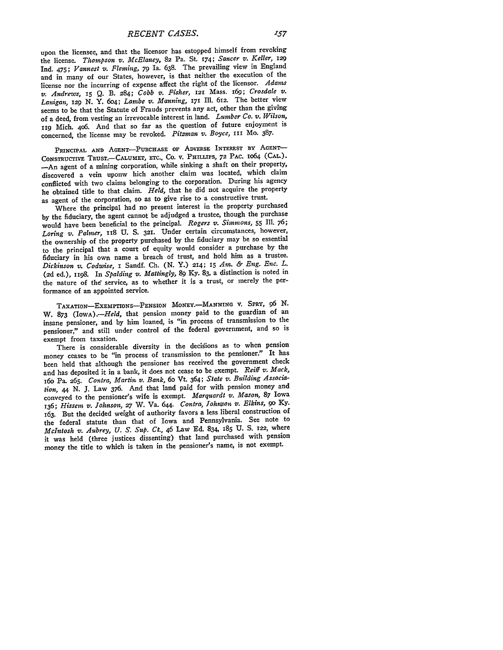upon the licensee, and that the licensor has estopped himself from revoking the license. *Thompson v. McElaney,* **82** Pa. St. 174; *Sancer v. Keller, <sup>129</sup>* Ind. 475; *Vannest v. Fleming,* **79** Ia. **638.** The prevailing view in England and in many of our States, however, is that neither the execution of the license nor the incurring of expense affect the right of the licensor. *Adams v. Andrews, 15* **Q.** B. 284; *Cobb v. Fisher,* **121** Mass. i69; *Crosdale v. Lanigan, 129* **N.** Y. 6o4; *Lambe v. Manning,* **171** Ill. 612. The better view seems to **be** that the Statute of Frauds prevents any act, other than the giving of a deed, from vesting an irrevocable interest in land. *Lumber Co. v. Wilson,* **I19** Mich. 406. And that so *far* as the question of future enjoyment is concerned, the license may be revoked. *Pitzman v. Boyce,* **III** Mo. **387.**

PRINCIPAL AND AGENT-PURCHASE OF ADVERSE INTEREST BY AGENT-CoNsTRucTIvE **TRUST.-CALUMET, ETC.. CO. V. PHILLIPS, 72** PAC. 1064 **(CAL).** -- An agent of a mining corporation, while sinking a shaft on their property, discovered a vein uponw hich another claim was located, which claim conflicted with two claims belonging to the corporation. During his agency he obtained title to that claim. *Held,* that he did not acquire the property as agent of the corporation, so as to give rise to a constructive trust.

Where the principal had no present interest in the property purchased **by** the fiduciary, the agent cannot be adjudged a trustee, though the purchase would have been beneficial to the principal. *Rogers v. Simmons, 55* Ill. **76;** *Loring v. Palmer,* **18 U. S. 321.** Under certain circumstances, however, the ownership of the property purchased **by** the fiduciary may be so essential to the principal that a court of equity would consider a purchase **by** the fiduciary in his own name a breach of trust, and hold him as a trustee. *Dickinson v. Codwise,* **I** Sandf. **Ch. (N.** Y.) 214; 15 *Am. & Eng. Enc. L.* (2d ed.), 1198. In *Spalding v. Mattingly, 89* Ky. **83,** a distinction is noted in the nature of the service, as to whether it is a trust, or merely the performance of an appointed service.

**TAXATION-ExEmPTIONS-PENSION MONEY.-MANNING** V. SPRY, **96** N. W. **873** *(IowA).-Held,* that pension money paid to the guardian of an insane pensioner, and by him loaned, is "in process of transmission to the pensioner," and still under control of the federal government, and so is exempt from taxation.

There is considerable diversity in the decisions as to when pension money ceases to be "in process of transmission to the pensioner." It has been held that although the pensioner has received the government check and has deposited it in a bank, it does not cease to be exempt. *Reiff v. Mack, 16o* Pa. 265. *Contra, Martin v. Bank,* 6o Vt. 364; *State v. Building Association, 44* **N. J.** Law **376.** And that land paid for with pension money and conveyed to the pensioner's wife is exempt. *Marquardt v. Mason,* **87** Iowa **136;** *Hissem v. Johnson,* **27** W. Va. 644. *Contra, Johnson v. Elkins, go* **Ky.** 163. But the decided weight of authority favors a less liberal construction of the federal statute than that of Iowa and Pennsylvania. See note to *McIntosh v. Aubrey, U. S. SUp. Ct.,* 46 Law Ed. 834, **185** U. S. 122, where it was held (three justices dissenting) that land purchased with pension money the title to which is taken in the pensioner's name, is not exempt.